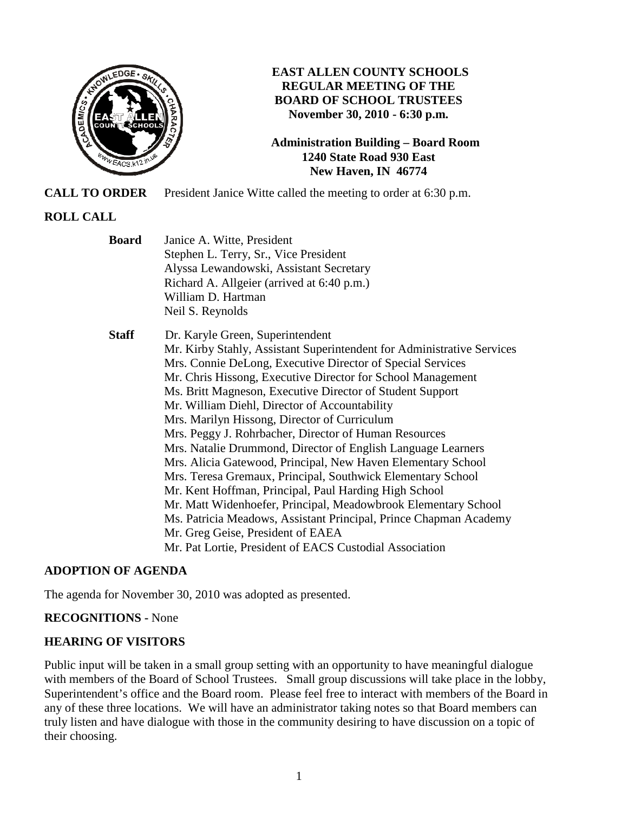

## **EAST ALLEN COUNTY SCHOOLS REGULAR MEETING OF THE BOARD OF SCHOOL TRUSTEES November 30, 2010 - 6:30 p.m.**

**Administration Building – Board Room 1240 State Road 930 East New Haven, IN 46774**

**CALL TO ORDER** President Janice Witte called the meeting to order at 6:30 p.m.

# **ROLL CALL**

| <b>Board</b> | Janice A. Witte, President<br>Stephen L. Terry, Sr., Vice President<br>Alyssa Lewandowski, Assistant Secretary<br>Richard A. Allgeier (arrived at 6:40 p.m.)<br>William D. Hartman<br>Neil S. Reynolds                                                                                                                                                                                                                                                                                                                                                                                                                                                                                                                                                                                                                                                                                                                                                        |
|--------------|---------------------------------------------------------------------------------------------------------------------------------------------------------------------------------------------------------------------------------------------------------------------------------------------------------------------------------------------------------------------------------------------------------------------------------------------------------------------------------------------------------------------------------------------------------------------------------------------------------------------------------------------------------------------------------------------------------------------------------------------------------------------------------------------------------------------------------------------------------------------------------------------------------------------------------------------------------------|
| <b>Staff</b> | Dr. Karyle Green, Superintendent<br>Mr. Kirby Stahly, Assistant Superintendent for Administrative Services<br>Mrs. Connie DeLong, Executive Director of Special Services<br>Mr. Chris Hissong, Executive Director for School Management<br>Ms. Britt Magneson, Executive Director of Student Support<br>Mr. William Diehl, Director of Accountability<br>Mrs. Marilyn Hissong, Director of Curriculum<br>Mrs. Peggy J. Rohrbacher, Director of Human Resources<br>Mrs. Natalie Drummond, Director of English Language Learners<br>Mrs. Alicia Gatewood, Principal, New Haven Elementary School<br>Mrs. Teresa Gremaux, Principal, Southwick Elementary School<br>Mr. Kent Hoffman, Principal, Paul Harding High School<br>Mr. Matt Widenhoefer, Principal, Meadowbrook Elementary School<br>Ms. Patricia Meadows, Assistant Principal, Prince Chapman Academy<br>Mr. Greg Geise, President of EAEA<br>Mr. Pat Lortie, President of EACS Custodial Association |

## **ADOPTION OF AGENDA**

The agenda for November 30, 2010 was adopted as presented.

## **RECOGNITIONS -** None

## **HEARING OF VISITORS**

Public input will be taken in a small group setting with an opportunity to have meaningful dialogue with members of the Board of School Trustees. Small group discussions will take place in the lobby, Superintendent's office and the Board room. Please feel free to interact with members of the Board in any of these three locations. We will have an administrator taking notes so that Board members can truly listen and have dialogue with those in the community desiring to have discussion on a topic of their choosing.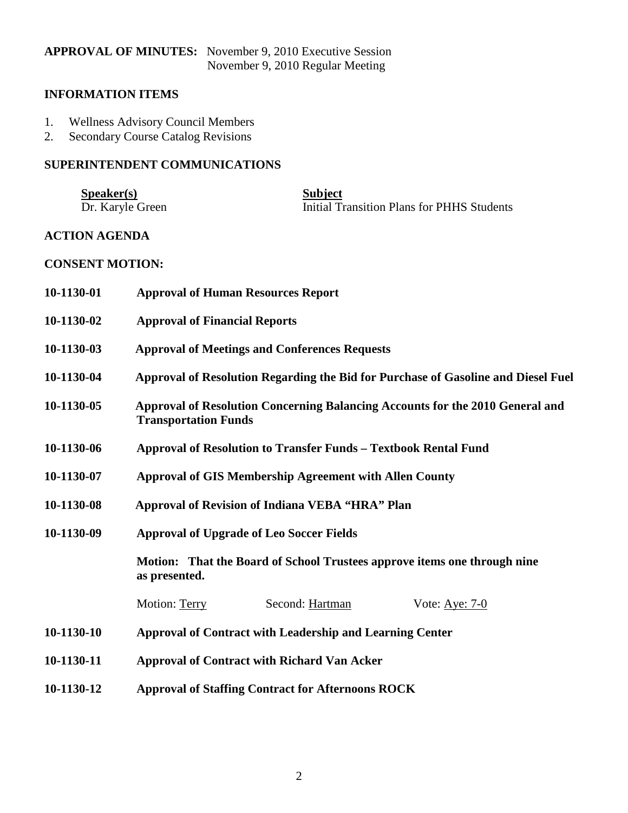# **APPROVAL OF MINUTES:** November 9, 2010 Executive Session November 9, 2010 Regular Meeting

## **INFORMATION ITEMS**

- 1. Wellness Advisory Council Members<br>2. Secondary Course Catalog Revisions
- Secondary Course Catalog Revisions

# **SUPERINTENDENT COMMUNICATIONS**

| S <sub>p</sub> e <sub>aker(s)</sub> | <b>Subject</b>                             |
|-------------------------------------|--------------------------------------------|
| Dr. Karyle Green                    | Initial Transition Plans for PHHS Students |

#### **ACTION AGENDA**

#### **CONSENT MOTION:**

| 10-1130-01 | <b>Approval of Human Resources Report</b>                                                                    |  |  |
|------------|--------------------------------------------------------------------------------------------------------------|--|--|
| 10-1130-02 | <b>Approval of Financial Reports</b>                                                                         |  |  |
| 10-1130-03 | <b>Approval of Meetings and Conferences Requests</b>                                                         |  |  |
| 10-1130-04 | Approval of Resolution Regarding the Bid for Purchase of Gasoline and Diesel Fuel                            |  |  |
| 10-1130-05 | Approval of Resolution Concerning Balancing Accounts for the 2010 General and<br><b>Transportation Funds</b> |  |  |
| 10-1130-06 | Approval of Resolution to Transfer Funds - Textbook Rental Fund                                              |  |  |
| 10-1130-07 | <b>Approval of GIS Membership Agreement with Allen County</b>                                                |  |  |
| 10-1130-08 | <b>Approval of Revision of Indiana VEBA "HRA" Plan</b>                                                       |  |  |
| 10-1130-09 | <b>Approval of Upgrade of Leo Soccer Fields</b>                                                              |  |  |
|            | Motion: That the Board of School Trustees approve items one through nine<br>as presented.                    |  |  |
|            | Motion: Terry<br>Second: Hartman<br>Vote: Aye: 7-0                                                           |  |  |
| 10-1130-10 | <b>Approval of Contract with Leadership and Learning Center</b>                                              |  |  |
| 10-1130-11 | <b>Approval of Contract with Richard Van Acker</b>                                                           |  |  |
| 10-1130-12 | <b>Approval of Staffing Contract for Afternoons ROCK</b>                                                     |  |  |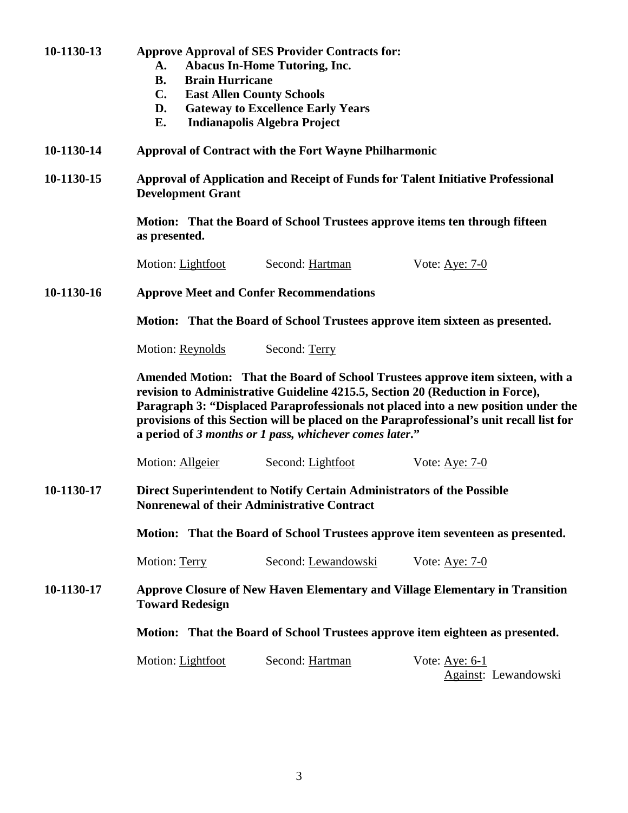**B. Brain Hurricane C. East Allen County Schools D. Gateway to Excellence Early Years E. Indianapolis Algebra Project 10-1130-14 Approval of Contract with the Fort Wayne Philharmonic 10 10-1130-15 Approval of Application and Receipt of Funds for Talent Initiative Professional Development Grant Motion: That the Board of School Trustees approve items ten through fifteen as presented.**  Motion: Lightfoot Second: Hartman Vote: Aye: 7-0 **10-1130-16 Approve Meet and Confer Recommendations Motion: That the Board of School Trustees approve item sixteen as presented. Motion: Reynolds Second: Terry Amended Motion: That the Board of School Trustees approve item sixteen, with a revision to Administrative Guideline 4215.5, Section 20 (Reduction in Force), Paragraph 3: "Displaced Paraprofessionals not placed into a new position under the provisions of this Section will be placed on the Paraprofessional's unit recall list for a period of** *3 months or 1 pass, whichever comes later***."**  Motion: Allgeier Second: Lightfoot Vote: Aye: 7-0 **10-1130-17 Direct Superintendent to Notify Certain Administrators of the Possible Nonrenewal of their Administrative Contract** 

**10-1130-13 Approve Approval of SES Provider Contracts for:** 

 **A. Abacus In-Home Tutoring, Inc.** 

 **Motion: That the Board of School Trustees approve item seventeen as presented.** 

Motion: Terry Second: Lewandowski Vote: Aye: 7-0

**10-1130-17 Approve Closure of New Haven Elementary and Village Elementary in Transition Toward Redesign** 

 **Motion: That the Board of School Trustees approve item eighteen as presented.** 

**Motion: Lightfoot** Second: Hartman Vote: Aye: 6-1

Against: Lewandowski